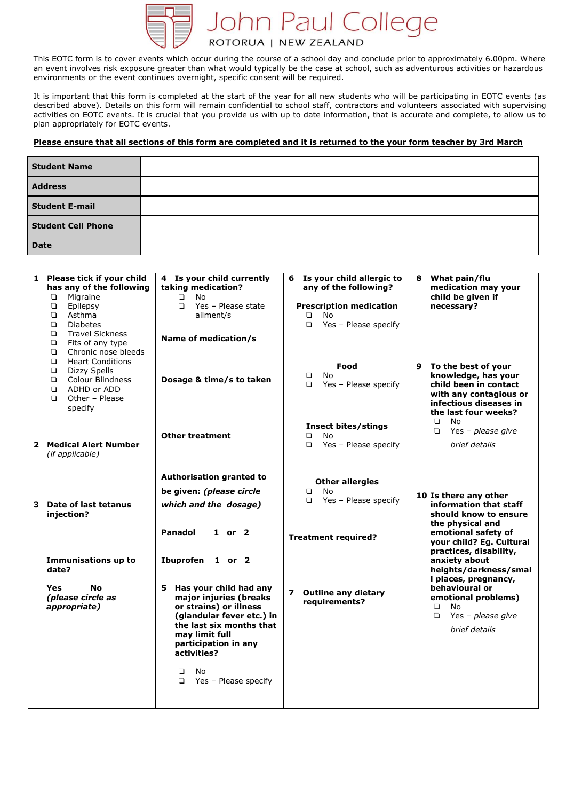

This EOTC form is to cover events which occur during the course of a school day and conclude prior to approximately 6.00pm. Where an event involves risk exposure greater than what would typically be the case at school, such as adventurous activities or hazardous environments or the event continues overnight, specific consent will be required.

It is important that this form is completed at the start of the year for all new students who will be participating in EOTC events (as described above). Details on this form will remain confidential to school staff, contractors and volunteers associated with supervising activities on EOTC events. It is crucial that you provide us with up to date information, that is accurate and complete, to allow us to plan appropriately for EOTC events.

## **Please ensure that all sections of this form are completed and it is returned to the your form teacher by 3rd March**

| <b>Student Name</b>       |  |
|---------------------------|--|
| <b>Address</b>            |  |
| <b>Student E-mail</b>     |  |
| <b>Student Cell Phone</b> |  |
| <b>Date</b>               |  |

|  | 1 Please tick if your child<br>has any of the following<br>Migraine<br>$\Box$<br>$\Box$<br>Epilepsy<br>O.<br>Asthma<br>$\Box$<br><b>Diabetes</b><br>$\Box$<br><b>Travel Sickness</b><br>$\Box$<br>Fits of any type | 4 Is your child currently<br>Is your child allergic to<br>6<br>taking medication?<br>any of the following?<br>No<br>$\Box$<br>Yes - Please state<br><b>Prescription medication</b><br>$\Box$<br>ailment/s<br><b>No</b><br>◘<br>Yes - Please specify<br>$\Box$<br>Name of medication/s |                                                                              | What pain/flu<br>8<br>medication may your<br>child be given if<br>necessary?                                                                                                                                                                                             |  |
|--|--------------------------------------------------------------------------------------------------------------------------------------------------------------------------------------------------------------------|---------------------------------------------------------------------------------------------------------------------------------------------------------------------------------------------------------------------------------------------------------------------------------------|------------------------------------------------------------------------------|--------------------------------------------------------------------------------------------------------------------------------------------------------------------------------------------------------------------------------------------------------------------------|--|
|  | $\Box$<br>Chronic nose bleeds<br>$\Box$<br><b>Heart Conditions</b><br>Dizzy Spells<br>$\Box$<br>Colour Blindness<br>O.<br>ADHD or ADD<br>O.<br>Other - Please<br>$\Box$<br>specify                                 | Dosage & time/s to taken                                                                                                                                                                                                                                                              | Food<br>No<br>$\Box$<br>Yes - Please specify<br>◘                            | To the best of your<br>9<br>knowledge, has your<br>child been in contact<br>with any contagious or<br>infectious diseases in<br>the last four weeks?                                                                                                                     |  |
|  | 2 Medical Alert Number<br>(if applicable)                                                                                                                                                                          | <b>Other treatment</b>                                                                                                                                                                                                                                                                | <b>Insect bites/stings</b><br>No<br>$\Box$<br>Yes - Please specify<br>$\Box$ | $\Box$<br>No<br>Yes - please give<br>$\Box$<br>brief details                                                                                                                                                                                                             |  |
|  |                                                                                                                                                                                                                    | Authorisation granted to<br>be given: (please circle                                                                                                                                                                                                                                  | <b>Other allergies</b><br>No<br>$\Box$                                       |                                                                                                                                                                                                                                                                          |  |
|  | 3 Date of last tetanus<br>injection?                                                                                                                                                                               | which and the dosage)                                                                                                                                                                                                                                                                 | Yes - Please specify<br>▫                                                    | 10 Is there any other<br>information that staff<br>should know to ensure                                                                                                                                                                                                 |  |
|  |                                                                                                                                                                                                                    | <b>Panadol</b><br>$1$ or $2$                                                                                                                                                                                                                                                          | <b>Treatment required?</b>                                                   | the physical and<br>emotional safety of<br>your child? Eq. Cultural<br>practices, disability,<br>anxiety about<br>heights/darkness/smal<br>I places, pregnancy,<br>behavioural or<br>emotional problems)<br>No<br>$\Box$<br>Yes - please give<br>$\Box$<br>brief details |  |
|  | Immunisations up to<br>date?                                                                                                                                                                                       | Ibuprofen<br>1 or 2                                                                                                                                                                                                                                                                   |                                                                              |                                                                                                                                                                                                                                                                          |  |
|  | <b>Yes</b><br>No<br>(please circle as<br>appropriate)                                                                                                                                                              | Has your child had any<br>5.<br>major injuries (breaks<br>or strains) or illness<br>(glandular fever etc.) in<br>the last six months that<br>may limit full<br>participation in any<br>activities?<br>▫<br>No.                                                                        | $\overline{ }$<br><b>Outline any dietary</b><br>requirements?                |                                                                                                                                                                                                                                                                          |  |
|  |                                                                                                                                                                                                                    | $\Box$<br>Yes - Please specify                                                                                                                                                                                                                                                        |                                                                              |                                                                                                                                                                                                                                                                          |  |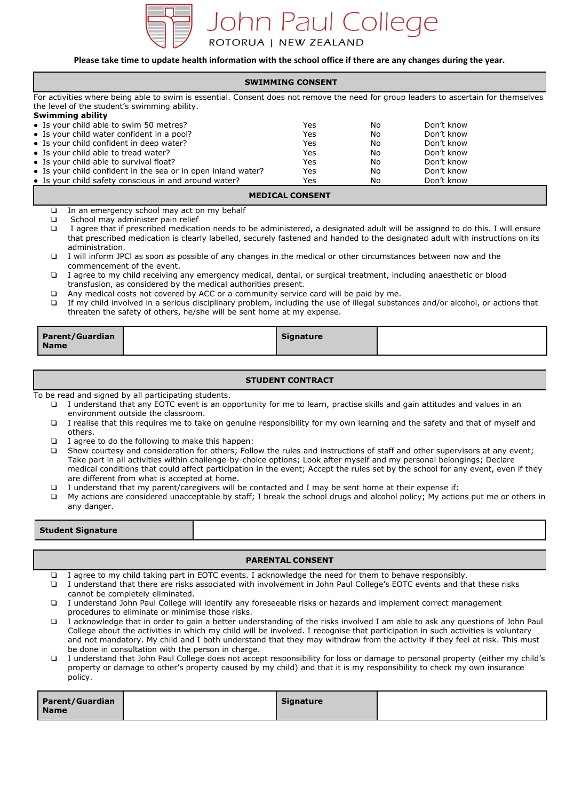

## **Please take time to update health information with the school office if there are any changes during the year.**

| <b>SWIMMING CONSENT</b>                                                                                                                |                                                                                                                                 |                         |          |                                                                                                                               |  |  |  |
|----------------------------------------------------------------------------------------------------------------------------------------|---------------------------------------------------------------------------------------------------------------------------------|-------------------------|----------|-------------------------------------------------------------------------------------------------------------------------------|--|--|--|
| For activities where being able to swim is essential. Consent does not remove the need for group leaders to ascertain for themselves   |                                                                                                                                 |                         |          |                                                                                                                               |  |  |  |
| the level of the student's swimming ability.                                                                                           |                                                                                                                                 |                         |          |                                                                                                                               |  |  |  |
| <b>Swimming ability</b>                                                                                                                |                                                                                                                                 |                         |          |                                                                                                                               |  |  |  |
| • Is your child able to swim 50 metres?                                                                                                |                                                                                                                                 | Yes                     | No       | Don't know                                                                                                                    |  |  |  |
| • Is your child water confident in a pool?                                                                                             |                                                                                                                                 | Yes                     | No       | Don't know                                                                                                                    |  |  |  |
| • Is your child confident in deep water?<br>• Is your child able to tread water?                                                       |                                                                                                                                 | Yes                     | No       | Don't know<br>Don't know                                                                                                      |  |  |  |
| • Is your child able to survival float?                                                                                                |                                                                                                                                 | Yes<br>Yes              | No<br>No | Don't know                                                                                                                    |  |  |  |
|                                                                                                                                        | • Is your child confident in the sea or in open inland water?                                                                   | Yes                     | No       | Don't know                                                                                                                    |  |  |  |
| • Is your child safety conscious in and around water?                                                                                  |                                                                                                                                 | Yes                     | No       | Don't know                                                                                                                    |  |  |  |
|                                                                                                                                        |                                                                                                                                 |                         |          |                                                                                                                               |  |  |  |
|                                                                                                                                        |                                                                                                                                 | <b>MEDICAL CONSENT</b>  |          |                                                                                                                               |  |  |  |
| $\Box$                                                                                                                                 | In an emergency school may act on my behalf                                                                                     |                         |          |                                                                                                                               |  |  |  |
| School may administer pain relief<br>$\Box$                                                                                            |                                                                                                                                 |                         |          |                                                                                                                               |  |  |  |
| $\Box$                                                                                                                                 |                                                                                                                                 |                         |          | I agree that if prescribed medication needs to be administered, a designated adult will be assigned to do this. I will ensure |  |  |  |
|                                                                                                                                        |                                                                                                                                 |                         |          | that prescribed medication is clearly labelled, securely fastened and handed to the designated adult with instructions on its |  |  |  |
| administration.<br>$\Box$                                                                                                              | I will inform JPCI as soon as possible of any changes in the medical or other circumstances between now and the                 |                         |          |                                                                                                                               |  |  |  |
| commencement of the event.                                                                                                             |                                                                                                                                 |                         |          |                                                                                                                               |  |  |  |
| $\Box$                                                                                                                                 | I agree to my child receiving any emergency medical, dental, or surgical treatment, including anaesthetic or blood              |                         |          |                                                                                                                               |  |  |  |
|                                                                                                                                        | transfusion, as considered by the medical authorities present.                                                                  |                         |          |                                                                                                                               |  |  |  |
| $\Box$                                                                                                                                 | Any medical costs not covered by ACC or a community service card will be paid by me.                                            |                         |          |                                                                                                                               |  |  |  |
| $\Box$                                                                                                                                 | If my child involved in a serious disciplinary problem, including the use of illegal substances and/or alcohol, or actions that |                         |          |                                                                                                                               |  |  |  |
|                                                                                                                                        | threaten the safety of others, he/she will be sent home at my expense.                                                          |                         |          |                                                                                                                               |  |  |  |
|                                                                                                                                        |                                                                                                                                 |                         |          |                                                                                                                               |  |  |  |
| <b>Parent/Guardian</b>                                                                                                                 |                                                                                                                                 | <b>Signature</b>        |          |                                                                                                                               |  |  |  |
| <b>Name</b>                                                                                                                            |                                                                                                                                 |                         |          |                                                                                                                               |  |  |  |
|                                                                                                                                        |                                                                                                                                 |                         |          |                                                                                                                               |  |  |  |
|                                                                                                                                        |                                                                                                                                 | <b>STUDENT CONTRACT</b> |          |                                                                                                                               |  |  |  |
| To be read and signed by all participating students.                                                                                   |                                                                                                                                 |                         |          |                                                                                                                               |  |  |  |
| $\Box$                                                                                                                                 | I understand that any EOTC event is an opportunity for me to learn, practise skills and gain attitudes and values in an         |                         |          |                                                                                                                               |  |  |  |
| environment outside the classroom.                                                                                                     |                                                                                                                                 |                         |          |                                                                                                                               |  |  |  |
| $\Box$                                                                                                                                 | I realise that this requires me to take on genuine responsibility for my own learning and the safety and that of myself and     |                         |          |                                                                                                                               |  |  |  |
| others.                                                                                                                                |                                                                                                                                 |                         |          |                                                                                                                               |  |  |  |
| $\Box$                                                                                                                                 | I agree to do the following to make this happen:                                                                                |                         |          |                                                                                                                               |  |  |  |
| $\Box$                                                                                                                                 | Show courtesy and consideration for others; Follow the rules and instructions of staff and other supervisors at any event;      |                         |          |                                                                                                                               |  |  |  |
|                                                                                                                                        | Take part in all activities within challenge-by-choice options; Look after myself and my personal belongings; Declare           |                         |          |                                                                                                                               |  |  |  |
|                                                                                                                                        | medical conditions that could affect participation in the event; Accept the rules set by the school for any event, even if they |                         |          |                                                                                                                               |  |  |  |
|                                                                                                                                        | are different from what is accepted at home.                                                                                    |                         |          |                                                                                                                               |  |  |  |
| I understand that my parent/caregivers will be contacted and I may be sent home at their expense if:<br>$\Box$                         |                                                                                                                                 |                         |          |                                                                                                                               |  |  |  |
| My actions are considered unacceptable by staff; I break the school drugs and alcohol policy; My actions put me or others in<br>$\Box$ |                                                                                                                                 |                         |          |                                                                                                                               |  |  |  |
| any danger.                                                                                                                            |                                                                                                                                 |                         |          |                                                                                                                               |  |  |  |
|                                                                                                                                        |                                                                                                                                 |                         |          |                                                                                                                               |  |  |  |
| <b>Student Signature</b>                                                                                                               |                                                                                                                                 |                         |          |                                                                                                                               |  |  |  |
|                                                                                                                                        |                                                                                                                                 |                         |          |                                                                                                                               |  |  |  |

## **PARENTAL CONSENT**

- ❏ I agree to my child taking part in EOTC events. I acknowledge the need for them to behave responsibly.
- ❏ I understand that there are risks associated with involvement in John Paul College's EOTC events and that these risks cannot be completely eliminated.
- ❏ I understand John Paul College will identify any foreseeable risks or hazards and implement correct management procedures to eliminate or minimise those risks.
- ❏ I acknowledge that in order to gain a better understanding of the risks involved I am able to ask any questions of John Paul College about the activities in which my child will be involved. I recognise that participation in such activities is voluntary and not mandatory. My child and I both understand that they may withdraw from the activity if they feel at risk. This must be done in consultation with the person in charge.
- ❏ I understand that John Paul College does not accept responsibility for loss or damage to personal property (either my child's property or damage to other's property caused by my child) and that it is my responsibility to check my own insurance policy.

| Parent/Guardian | <b>Signature</b> |  |
|-----------------|------------------|--|
| <b>Name</b>     |                  |  |